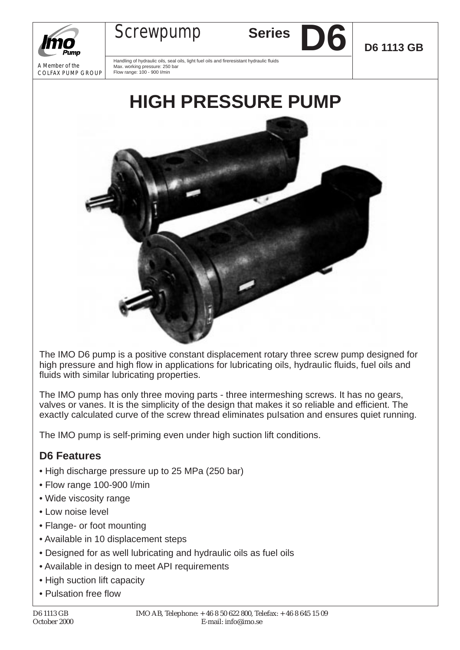



Handling of hydraulic oils, seal oils, light fuel oils and fireresistant hydraulic fluids Max. working pressure: 250 bar Flow range: 100 - 900 I/min

Screwpump Series

**D6 D6 1113 GB**



The IMO D6 pump is a positive constant displacement rotary three screw pump designed for high pressure and high flow in applications for lubricating oils, hydraulic fluids, fuel oils and fluids with similar lubricating properties.

The IMO pump has only three moving parts - three intermeshing screws. It has no gears, valves or vanes. It is the simplicity of the design that makes it so reliable and efficient. The exactly calculated curve of the screw thread eliminates pulsation and ensures quiet running.

The IMO pump is self-priming even under high suction lift conditions.

## **D6 Features**

- High discharge pressure up to 25 MPa (250 bar)
- Flow range 100-900 l/min
- Wide viscosity range
- Low noise level
- Flange- or foot mounting
- Available in 10 displacement steps
- Designed for as well lubricating and hydraulic oils as fuel oils
- Available in design to meet API requirements
- High suction lift capacity
- Pulsation free flow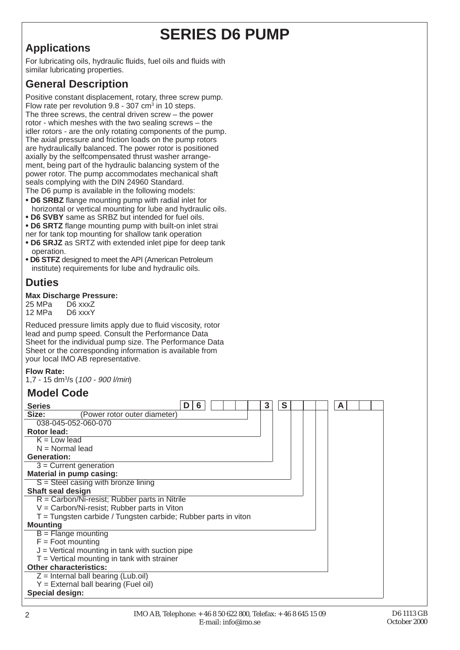# **SERIES D6 PUMP**

## **Applications**

For lubricating oils, hydraulic fluids, fuel oils and fluids with similar lubricating properties.

## **General Description**

Positive constant displacement, rotary, three screw pump. Flow rate per revolution  $9.8 - 307$  cm<sup>3</sup> in 10 steps. The three screws, the central driven screw – the power rotor - which meshes with the two sealing screws – the idler rotors - are the only rotating components of the pump. The axial pressure and friction loads on the pump rotors are hydraulically balanced. The power rotor is positioned axially by the selfcompensated thrust washer arrangement, being part of the hydraulic balancing system of the power rotor. The pump accommodates mechanical shaft seals complying with the DIN 24960 Standard. The D6 pump is available in the following models:

**• D6 SRBZ** flange mounting pump with radial inlet for horizontal or vertical mounting for lube and hydraulic oils.

- **D6 SVBY** same as SRBZ but intended for fuel oils.
- **D6 SRTZ** flange mounting pump with built-on inlet strai

ner for tank top mounting for shallow tank operation

- **D6 SRJZ** as SRTZ with extended inlet pipe for deep tank operation.
- **D6 STFZ** designed to meet the API (American Petroleum institute) requirements for lube and hydraulic oils.

## **Duties**

## **Max Discharge Pressure:**

D6 xxxZ 12 MPa D6 xxxY

Reduced pressure limits apply due to fluid viscosity, rotor lead and pump speed. Consult the Performance Data Sheet for the individual pump size. The Performance Data Sheet or the corresponding information is available from your local IMO AB representative.

#### **Flow Rate:**

1,7 - 15 dm3 /s (100 - 900 l/min)

#### **Model Code**

| 3<br>S<br><b>Series</b><br>6<br>A                              |
|----------------------------------------------------------------|
| Size:<br>(Power rotor outer diameter)                          |
| 038-045-052-060-070                                            |
| Rotor lead:                                                    |
| $K = Low lead$                                                 |
| $N = Normal lead$                                              |
| <b>Generation:</b>                                             |
| $3$ = Current generation                                       |
| Material in pump casing:                                       |
| $S =$ Steel casing with bronze lining                          |
| Shaft seal design                                              |
| $R = \text{Carbon/Ni-resist}$ ; Rubber parts in Nitrile        |
| $V = Carbon/Ni-resist; Rubber parts in Viton$                  |
| T = Tungsten carbide / Tungsten carbide; Rubber parts in viton |
| <b>Mounting</b>                                                |
| $B =$ Flange mounting                                          |
| $F =$ Foot mounting                                            |
| $J =$ Vertical mounting in tank with suction pipe              |
| $T =$ Vertical mounting in tank with strainer                  |
| <b>Other characteristics:</b>                                  |
| $Z =$ Internal ball bearing (Lub.oil)                          |
| $Y =$ External ball bearing (Fuel oil)                         |
| Special design:                                                |

2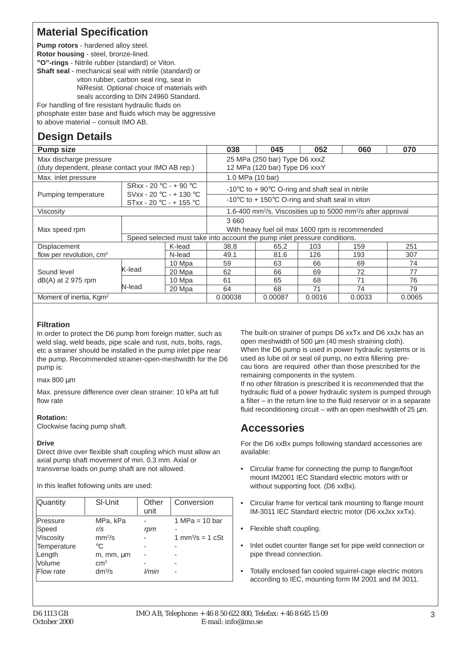#### **Material Specification**

**Pump rotors** - hardened alloy steel. **Rotor housing** - steel, bronze-lined.

**"O"-rings** - Nitrile rubber (standard) or Viton.

**Shaft seal** - mechanical seal with nitrile (standard) or

viton rubber, carbon seal ring, seat in NiResist. Optional choice of materials with seals according to DIN 24960 Standard.

For handling of fire resistant hydraulic fluids on

phosphate ester base and fluids which may be aggressive to above material – consult IMO AB.

## **Design Details**

| <b>Pump size</b>                                  |                                                                                                                                                                                                                                                                                                                                                                                                                                                                       |        | 038                           | 045     | 052    | 060                                   | 070    |  |  |
|---------------------------------------------------|-----------------------------------------------------------------------------------------------------------------------------------------------------------------------------------------------------------------------------------------------------------------------------------------------------------------------------------------------------------------------------------------------------------------------------------------------------------------------|--------|-------------------------------|---------|--------|---------------------------------------|--------|--|--|
| Max discharge pressure                            |                                                                                                                                                                                                                                                                                                                                                                                                                                                                       |        | 25 MPa (250 bar) Type D6 xxxZ |         |        |                                       |        |  |  |
| (duty dependent, please contact your IMO AB rep.) | 12 MPa (120 bar) Type D6 xxxY<br>1.0 MPa (10 bar)<br>-10 $\degree$ C to + 90 $\degree$ C O-ring and shaft seal in nitrile<br>-10 $\degree$ C to + 150 $\degree$ C O-ring and shaft seal in viton<br>1.6-400 mm <sup>2</sup> /s. Viscosities up to 5000 mm <sup>2</sup> /s after approval<br>3660<br>With heavy fuel oil max 1600 rpm is recommended<br>Speed selected must take into account the pump inlet pressure conditions.<br>251<br>38.8<br>159<br>65.2<br>103 |        |                               |         |        |                                       |        |  |  |
| Max. inlet pressure                               |                                                                                                                                                                                                                                                                                                                                                                                                                                                                       |        |                               |         |        |                                       |        |  |  |
| Pumping temperature                               | $SRxx - 20 °C - + 90 °C$<br>SVxx - 20 °C - + 130 °C                                                                                                                                                                                                                                                                                                                                                                                                                   |        |                               |         |        |                                       |        |  |  |
|                                                   | $STxx - 20 °C - + 155 °C$                                                                                                                                                                                                                                                                                                                                                                                                                                             |        |                               |         |        |                                       |        |  |  |
| Viscosity                                         |                                                                                                                                                                                                                                                                                                                                                                                                                                                                       |        |                               |         |        |                                       |        |  |  |
|                                                   |                                                                                                                                                                                                                                                                                                                                                                                                                                                                       |        |                               |         |        |                                       |        |  |  |
| Max speed rpm                                     |                                                                                                                                                                                                                                                                                                                                                                                                                                                                       |        |                               |         |        | 193<br>69<br>72<br>71<br>74<br>0.0033 |        |  |  |
|                                                   |                                                                                                                                                                                                                                                                                                                                                                                                                                                                       |        |                               |         |        |                                       |        |  |  |
| Displacement                                      |                                                                                                                                                                                                                                                                                                                                                                                                                                                                       | K-lead |                               |         |        |                                       |        |  |  |
| flow per revolution, $cm3$                        |                                                                                                                                                                                                                                                                                                                                                                                                                                                                       | N-lead | 49.1                          | 81.6    | 126    |                                       | 307    |  |  |
|                                                   |                                                                                                                                                                                                                                                                                                                                                                                                                                                                       | 10 Mpa | 59                            | 63      | 66     |                                       | 74     |  |  |
| Sound level                                       | K-lead                                                                                                                                                                                                                                                                                                                                                                                                                                                                | 20 Mpa | 62                            | 66      | 69     |                                       | 77     |  |  |
| $dB(A)$ at 2 975 rpm                              |                                                                                                                                                                                                                                                                                                                                                                                                                                                                       | 10 Mpa | 61                            | 65      | 68     |                                       | 76     |  |  |
|                                                   | N-lead                                                                                                                                                                                                                                                                                                                                                                                                                                                                | 20 Mpa | 64                            | 68      | 71     |                                       | 79     |  |  |
| Moment of inertia, Kgm <sup>2</sup>               |                                                                                                                                                                                                                                                                                                                                                                                                                                                                       |        | 0.00038                       | 0.00087 | 0.0016 |                                       | 0.0065 |  |  |

#### **Filtration**

In order to protect the D6 pump from foreign matter, such as weld slag, weld beads, pipe scale and rust, nuts, bolts, rags, etc a strainer should be installed in the pump inlet pipe near the pump. Recommended strainer-open-meshwidth for the D6 pump is:

max 800 µm

Max. pressure difference over clean strainer: 10 kPa att full flow rate

#### **Rotation:**

Clockwise facing pump shaft.

#### **Drive**

Direct drive over flexible shaft coupling which must allow an axial pump shaft movement of min. 0.3 mm. Axial or transverse loads on pump shaft are not allowed.

In this leaflet following units are used:

| Quantity    | SI-Unit            | Other<br>unit | Conversion                   |
|-------------|--------------------|---------------|------------------------------|
| Pressure    | MPa, kPa           |               | 1 MPa = $10 \text{ bar}$     |
| Speed       | r/s                | rpm           |                              |
| Viscosity   | mm <sup>2</sup> /s |               | 1 mm <sup>3</sup> /s = 1 cSt |
| Temperature | $^{\circ}C$        |               |                              |
| Length      | m, mm, µm          |               |                              |
| Volume      | cm <sup>3</sup>    |               |                              |
| Flow rate   | $dm^3/s$           | l/min         |                              |
|             |                    |               |                              |

The built-on strainer of pumps D6 xxTx and D6 xxJx has an open meshwidth of 500 µm (40 mesh straining cloth). When the D6 pump is used in power hydraulic systems or is used as lube oil or seal oil pump, no extra fillering precau tions are required other than those prescribed for the remaining components in the system.

If no other filtration is prescribed it is recommended that the hydraulic fluid of a power hydraulic system is pumped through a filter – in the return line to the fluid reservoir or in a separate fluid reconditioning circuit – with an open meshwidth of  $25 \mu m$ .

## **Accessories**

For the D6 xxBx pumps following standard accessories are available:

- **•** Circular frame for connecting the pump to flange/foot mount IM2001 IEC Standard electric motors with or without supporting foot. (D6 xxBx).
- **•** Circular frame for vertical tank mounting to flange mount IM-3011 IEC Standard electric motor (D6 xxJxx xxTx).
- **•** Flexible shaft coupling.
- **•** Inlet outlet counter flange set for pipe weld connection or pipe thread connection.
- **•** Totally enclosed fan cooled squirrel-cage electric motors according to IEC, mounting form IM 2001 and IM 3011.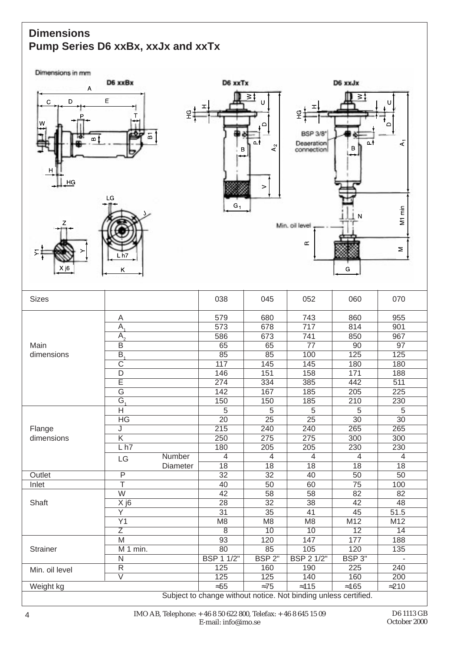## **Dimensions Pump Series D6 xxBx, xxJx and xxTx**

Dimensions in mm

|                                                       | D6 xxBx<br>Α                                 |          |                   | D6 xxTx                                          | D6 xxJx                             |                       |                                    |  |
|-------------------------------------------------------|----------------------------------------------|----------|-------------------|--------------------------------------------------|-------------------------------------|-----------------------|------------------------------------|--|
| D<br>$\mathbf C$<br>w<br>മ 1<br>H<br>$\underline{HG}$ | E<br>т<br>↔<br>$\overline{\mathbf{B}}$<br>LG | 오        | В                 | <u>≥≬</u><br>U<br>≏<br>Δł<br>A <sub>2</sub><br>> | 9H<br><b>BSP 3/8"</b><br>Deseration | '≶ ≤<br>n.<br>$\sf B$ | U<br>$\overline{A}$                |  |
| Z<br>Σ<br>X j6<br><b>Sizes</b>                        | L h7<br>Κ                                    |          | $G_1$<br>038      | 045                                              | Min. oil level<br>Œ<br>052          | N<br>G<br>060         | M1 min<br>$\mathsf{\Sigma}$<br>070 |  |
|                                                       |                                              |          |                   |                                                  |                                     |                       |                                    |  |
|                                                       | A                                            |          | 579               | 680                                              | 743                                 | 860                   | 955                                |  |
|                                                       | $\overline{A}$                               |          | 573               | 678                                              | 717                                 | 814                   | 901                                |  |
|                                                       | $A_{2}$                                      |          | 586               | 673                                              | 741                                 | 850                   | 967                                |  |
| Main                                                  | $\overline{B}$                               |          | 65                | 65                                               | $\overline{77}$                     | $\overline{90}$       | $\overline{97}$                    |  |
| dimensions                                            | $\overline{B}$                               |          | 85                | 85                                               | 100                                 | 125                   | 125                                |  |
|                                                       | $\overline{\mathrm{C}}$                      |          | 117               | 145                                              | 145                                 | 180                   | 180                                |  |
|                                                       | D                                            |          | 146               | 151                                              | 158                                 | 171                   | 188                                |  |
|                                                       | $\overline{\mathsf{E}}$                      |          | 274               | 334                                              | 385                                 | 442                   | 511                                |  |
|                                                       | $\overline{\mathsf{G}}$                      |          | 142               | 167                                              | 185                                 | 205                   | 225                                |  |
|                                                       | $G_{4}$                                      |          | 150               | 150                                              | 185                                 | 210                   | 230                                |  |
|                                                       | $\overline{H}$                               |          | 5                 | 5                                                | 5                                   | 5                     | 5                                  |  |
|                                                       | $H$ G                                        |          | $\overline{20}$   | $\overline{25}$                                  | $\overline{25}$                     | 30                    | $\overline{30}$                    |  |
| Flange                                                | J                                            |          | 215               | 240                                              | 240                                 | 265                   | 265                                |  |
| dimensions                                            | $\overline{\mathsf{K}}$                      |          | 250               | 275                                              | 275                                 | 300                   | 300                                |  |
|                                                       | L <sub>h7</sub>                              |          | 180               | $\overline{205}$                                 | 205                                 | 230                   | 230                                |  |
|                                                       | $\mathsf{L}\mathsf{G}$                       | Number   | $\overline{4}$    | $\overline{4}$                                   | $\overline{4}$                      | 4                     | $\overline{4}$                     |  |
|                                                       |                                              | Diameter | $\overline{18}$   | $\overline{18}$                                  | $\overline{18}$                     | $\overline{18}$       | 18                                 |  |
| Outlet                                                | $\overline{P}$                               |          | $\overline{32}$   | $\overline{32}$                                  | 40                                  | 50                    | 50                                 |  |
| Inlet                                                 | $\overline{\top}$                            |          | 40                | 50                                               | 60                                  | 75                    | 100                                |  |
|                                                       | $\overline{W}$                               |          | 42                | 58                                               | 58                                  | 82                    | 82                                 |  |
| Shaft                                                 | $\overline{X}$ j <sub>6</sub>                |          | $\overline{28}$   | $\overline{32}$                                  | 38                                  | $\overline{42}$       | 48                                 |  |
|                                                       | $\overline{Y}$                               |          | $\overline{31}$   | $\overline{35}$                                  | 41                                  | 45                    | 51.5                               |  |
|                                                       | $\overline{Y1}$                              |          | M <sub>8</sub>    | M <sub>8</sub>                                   | M <sub>8</sub>                      | M12                   | M12                                |  |
|                                                       | $\overline{Z}$                               |          | $\overline{8}$    | 10                                               | $\overline{10}$                     | $\overline{12}$       | 14                                 |  |
|                                                       | M                                            |          | $\overline{93}$   | 120                                              | 147                                 | 177                   | 188                                |  |
| Strainer                                              | M 1 min.                                     |          | 80                | 85                                               | 105                                 | 120                   | 135                                |  |
|                                                       | $\overline{\mathsf{N}}$                      |          | <b>BSP 1 1/2"</b> | BSP <sub>2</sub> "                               | <b>BSP 2 1/2"</b>                   | BSP 3"                |                                    |  |
| Min. oil level                                        | $\overline{\mathsf{R}}$                      |          | 125               | 160                                              | 190                                 | 225                   | 240                                |  |
|                                                       | $\overline{\mathsf{V}}$                      |          | 125               | $\overline{125}$                                 | 140                                 | 160                   | $\overline{200}$                   |  |
| Weight kg                                             |                                              |          | $\approx 55$      | $\approx 75$                                     | $\approx$ 115                       | $\approx 165$         | $\approx$ 210                      |  |

Subject to change without notice. Not binding unless certified.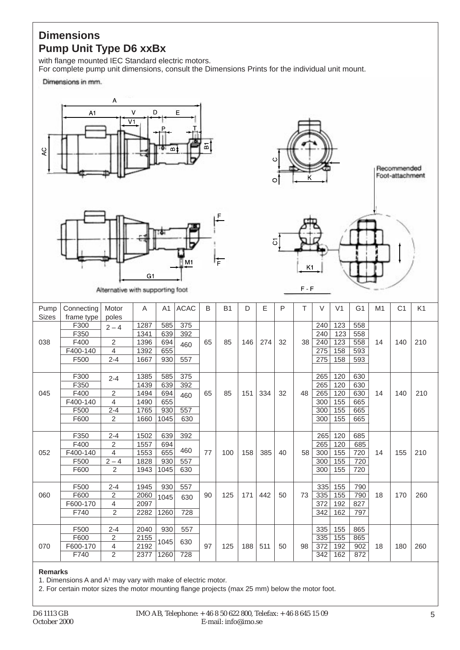#### **Dimensions Pump Unit Type D6 xxBx**

with flange mounted IEC Standard electric motors. For complete pump unit dimensions, consult the Dimensions Prints for the individual unit mount.

Dimensions in mm.





Alternative with supporting foot



Recommended Foot-attachment



 $F - F$ 

| Pump<br><b>Sizes</b> | Connecting | Motor<br>poles | A    | A1   | <b>ACAC</b> | B  | <b>B1</b> | D   | E   | P  | T  | V   | V <sub>1</sub> | G <sub>1</sub> | M1 | C <sub>1</sub> | K <sub>1</sub> |
|----------------------|------------|----------------|------|------|-------------|----|-----------|-----|-----|----|----|-----|----------------|----------------|----|----------------|----------------|
|                      | frame type |                |      |      | 375         |    |           |     |     |    |    |     | 123            |                |    |                |                |
|                      | F300       | $2 - 4$        | 1287 | 585  |             |    |           |     |     |    |    | 240 |                | 558            |    |                |                |
|                      | F350       |                | 1341 | 639  | 392         |    |           |     |     |    |    | 240 | 123            | 558            |    |                |                |
| 038                  | F400       | 2              | 1396 | 694  | 460         | 65 | 85        | 146 | 274 | 32 | 38 | 240 | 123            | 558            | 14 | 140            | 210            |
|                      | F400-140   | 4              | 1392 | 655  |             |    |           |     |     |    |    | 275 | 158            | 593            |    |                |                |
|                      | F500       | $2 - 4$        | 1667 | 930  | 557         |    |           |     |     |    |    | 275 | 158            | 593            |    |                |                |
|                      |            |                |      |      |             |    |           |     |     |    |    |     |                |                |    |                |                |
|                      | F300       | $2 - 4$        | 1385 | 585  | 375         |    |           |     |     |    |    | 265 | 120            | 630            |    |                |                |
|                      | F350       |                | 1439 | 639  | 392         |    |           |     |     |    |    | 265 | 120            | 630            |    |                |                |
| 045                  | F400       | $\overline{2}$ | 1494 | 694  | 460         | 65 | 85        | 151 | 334 | 32 | 48 | 265 | 120            | 630            | 14 | 140            | 210            |
|                      | F400-140   | 4              | 1490 | 655  |             |    |           |     |     |    |    | 300 | 155            | 665            |    |                |                |
|                      | F500       | $2 - 4$        | 1765 | 930  | 557         |    |           |     |     |    |    | 300 | 155            | 665            |    |                |                |
|                      | F600       | $\overline{2}$ | 1660 | 1045 | 630         |    |           |     |     |    |    | 300 | 155            | 665            |    |                |                |
|                      |            |                |      |      |             |    |           |     |     |    |    |     |                |                |    |                |                |
|                      | F350       | $2 - 4$        | 1502 | 639  | 392         |    |           |     |     |    |    | 265 | 120            | 685            |    |                |                |
|                      | F400       | $\overline{2}$ | 1557 | 694  |             |    |           |     |     |    |    | 265 | 120            | 685            |    |                |                |
| 052                  | F400-140   | 4              | 1553 | 655  | 460         | 77 | 100       | 158 | 385 | 40 | 58 | 300 | 155            | 720            | 14 | 155            | 210            |
|                      | F500       | $2 - 4$        | 1828 | 930  | 557         |    |           |     |     |    |    | 300 | 155            | 720            |    |                |                |
|                      | F600       | $\overline{2}$ | 1943 | 1045 | 630         |    |           |     |     |    |    | 300 | 155            | 720            |    |                |                |
|                      |            |                |      |      |             |    |           |     |     |    |    |     |                |                |    |                |                |
|                      | F500       | $2 - 4$        | 1945 | 930  | 557         |    |           |     |     |    |    | 335 | 155            | 790            |    |                |                |
| 060                  | F600       | $\overline{2}$ | 2060 | 1045 | 630         | 90 | 125       | 171 | 442 | 50 | 73 | 335 | 155            | 790            | 18 | 170            | 260            |
|                      | F600-170   | $\overline{4}$ | 2097 |      |             |    |           |     |     |    |    | 372 | 192            | 827            |    |                |                |
|                      | F740       | $\overline{2}$ | 2282 | 1260 | 728         |    |           |     |     |    |    | 342 | 162            | 797            |    |                |                |
|                      |            |                |      |      |             |    |           |     |     |    |    |     |                |                |    |                |                |
|                      | F500       | $2 - 4$        | 2040 | 930  | 557         |    |           |     |     |    |    | 335 | 155            | 865            |    |                |                |
|                      | F600       | 2              | 2155 |      |             |    |           |     |     |    |    | 335 | 155            | 865            |    |                |                |
| 070                  | F600-170   | $\overline{4}$ | 2192 | 1045 | 630         | 97 | 125       | 188 | 511 | 50 | 98 | 372 | 192            | 902            | 18 | 180            | 260            |
|                      | F740       | $\overline{2}$ | 2377 | 1260 | 728         |    |           |     |     |    |    | 342 | 162            | 872            |    |                |                |

#### **Remarks**

1. Dimensions A and A<sup>1</sup> may vary with make of electric motor.

2. For certain motor sizes the motor mounting flange projects (max 25 mm) below the motor foot.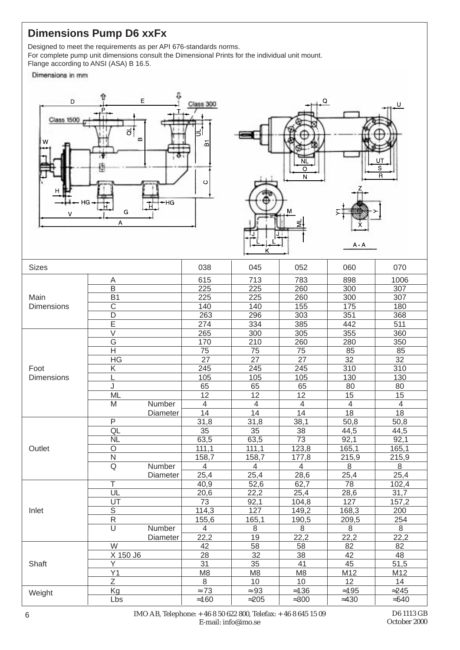## **Dimensions Pump D6 xxFx**

Designed to meet the requirements as per API 676-standards norms.

For complete pump unit dimensions consult the Dimensional Prints for the individual unit mount.

Flange according to ANSI (ASA) B 16.5.

Dimensions in mm





| <b>Sizes</b>      |                         |                 | 038             | 045             | 052             | 060             | 070              |
|-------------------|-------------------------|-----------------|-----------------|-----------------|-----------------|-----------------|------------------|
|                   | Α                       |                 | 615             | 713             | 783             | 898             | 1006             |
|                   | B                       |                 | 225             | 225             | 260             | 300             | 307              |
| Main              | B <sub>1</sub>          |                 | 225             | 225             | 260             | 300             | 307              |
| <b>Dimensions</b> | $\mathsf C$             |                 | 140             | 140             | 155             | 175             | 180              |
|                   | D                       |                 | 263             | 296             | 303             | 351             | 368              |
|                   | E                       |                 | 274             | 334             | 385             | 442             | 511              |
|                   | $\overline{\vee}$       |                 | 265             | 300             | 305             | 355             | 360              |
|                   | G                       |                 | 170             | 210             | 260             | 280             | 350              |
|                   | Н                       |                 | $\overline{75}$ | 75              | 75              | 85              | 85               |
|                   | HG                      |                 | 27              | 27              | 27              | 32              | 32               |
| Foot              | Κ                       |                 | 245             | 245             | 245             | 310             | 310              |
| <b>Dimensions</b> | L                       |                 | 105             | 105             | 105             | 130             | 130              |
|                   | J                       |                 | 65              | 65              | 65              | 80              | 80               |
|                   | <b>ML</b>               |                 | $\overline{12}$ | $\overline{12}$ | 12              | 15              | 15               |
|                   | M                       | Number          | $\overline{4}$  | $\overline{4}$  | $\overline{4}$  | $\overline{4}$  | $\overline{4}$   |
|                   |                         | Diameter        | 14              | 14              | 14              | 18              | 18               |
|                   | P                       |                 | 31,8            | 31,8            | 38,1            | 50,8            | 50,8             |
|                   | QL                      |                 | 35              | 35              | 38              | 44,5            | 44,5             |
|                   | <b>NL</b>               |                 | 63,5            | 63,5            | $\overline{73}$ | 92,1            | 92,1             |
| Outlet            | $\overline{O}$          |                 | 111,1           | 111,1           | 123,8           | 165,1           | 165,1            |
|                   | N                       |                 | 158,7           | 158,7           | 177,8           | 215,9           | 215,9            |
|                   | $\overline{\mathsf{Q}}$ | Number          | $\overline{4}$  | $\overline{4}$  | $\overline{4}$  | $\overline{8}$  | $\overline{8}$   |
|                   |                         | <b>Diameter</b> | 25,4            | 25,4            | 28,6            | 25,4            | 25,4             |
|                   | $\overline{\top}$       |                 | 40,9            | 52,6            | 62,7            | $\overline{78}$ | 102,4            |
|                   | $\overline{UL}$         |                 | 20,6            | 22,2            | 25,4            | 28,6            | 31,7             |
|                   | UT                      |                 | $\overline{73}$ | 92,1            | 104,8           | 127             | 157,2            |
| Inlet             | $\overline{\mathsf{s}}$ |                 | 114,3           | 127             | 149,2           | 168,3           | $\overline{200}$ |
|                   | ${\sf R}$               |                 | 155,6           | 165,1           | 190,5           | 209,5           | 254              |
|                   | $\overline{\mathsf{U}}$ | Number          | $\overline{4}$  | 8               | $\overline{8}$  | $\overline{8}$  | $\overline{8}$   |
|                   |                         | Diameter        | 22,2            | 19              | 22,2            | 22,2            | 22,2             |
|                   | W                       |                 | 42              | 58              | 58              | 82              | 82               |
|                   | X 150 J6                |                 | 28              | 32              | 38              | 42              | 48               |
| Shaft             | Y                       |                 | 31              | 35              | 41              | 45              | 51,5             |
|                   | Y1                      |                 | M <sub>8</sub>  | M <sub>8</sub>  | M <sub>8</sub>  | M12             | M12              |
|                   | Ζ                       |                 | 8               | 10              | 10              | 12              | 14               |
| Weight            | Kg                      |                 | $\approx 73$    | $\approx 93$    | $\approx 136$   | $\approx$ 195   | $\approx$ 245    |
|                   | Lbs                     |                 | $\approx 160$   | $\approx$ 205   | $\approx 300$   | $\approx$ 430   | $\approx 540$    |